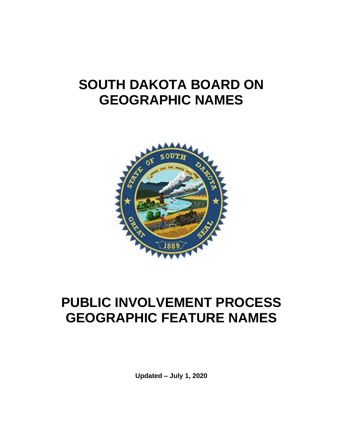## **SOUTH DAKOTA BOARD ON GEOGRAPHIC NAMES**



# **PUBLIC INVOLVEMENT PROCESS GEOGRAPHIC FEATURE NAMES**

**Updated – July 1, 2020**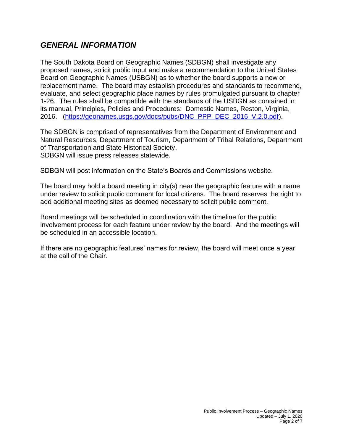## *GENERAL INFORMATION*

The South Dakota Board on Geographic Names (SDBGN) shall investigate any proposed names, solicit public input and make a recommendation to the United States Board on Geographic Names (USBGN) as to whether the board supports a new or replacement name. The board may establish procedures and standards to recommend, evaluate, and select geographic place names by rules promulgated pursuant to chapter 1-26. The rules shall be compatible with the standards of the USBGN as contained in its manual, Principles, Policies and Procedures: Domestic Names, Reston, Virginia, 2016. [\(https://geonames.usgs.gov/docs/pubs/DNC\\_PPP\\_DEC\\_2016\\_V.2.0.pdf\)](https://geonames.usgs.gov/docs/pubs/DNC_PPP_DEC_2016_V.2.0.pdf).

The SDBGN is comprised of representatives from the Department of Environment and Natural Resources, Department of Tourism, Department of Tribal Relations, Department of Transportation and State Historical Society. SDBGN will issue press releases statewide.

SDBGN will post information on the State's Boards and Commissions website.

The board may hold a board meeting in city(s) near the geographic feature with a name under review to solicit public comment for local citizens. The board reserves the right to add additional meeting sites as deemed necessary to solicit public comment.

Board meetings will be scheduled in coordination with the timeline for the public involvement process for each feature under review by the board. And the meetings will be scheduled in an accessible location.

If there are no geographic features' names for review, the board will meet once a year at the call of the Chair.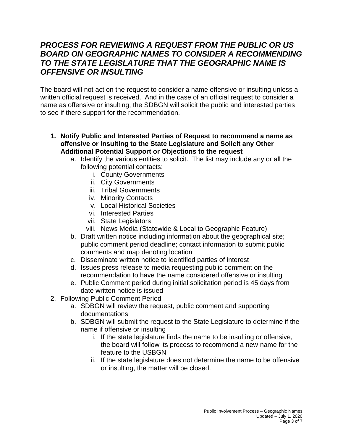## *PROCESS FOR REVIEWING A REQUEST FROM THE PUBLIC OR US BOARD ON GEOGRAPHIC NAMES TO CONSIDER A RECOMMENDING TO THE STATE LEGISLATURE THAT THE GEOGRAPHIC NAME IS OFFENSIVE OR INSULTING*

The board will not act on the request to consider a name offensive or insulting unless a written official request is received. And in the case of an official request to consider a name as offensive or insulting, the SDBGN will solicit the public and interested parties to see if there support for the recommendation.

- **1. Notify Public and Interested Parties of Request to recommend a name as offensive or insulting to the State Legislature and Solicit any Other Additional Potential Support or Objections to the request**
	- a. Identify the various entities to solicit. The list may include any or all the following potential contacts:
		- i. County Governments
		- ii. City Governments
		- iii. Tribal Governments
		- iv. Minority Contacts
		- v. Local Historical Societies
		- vi. Interested Parties
		- vii. State Legislators
		- viii. News Media (Statewide & Local to Geographic Feature)
	- b. Draft written notice including information about the geographical site; public comment period deadline; contact information to submit public comments and map denoting location
	- c. Disseminate written notice to identified parties of interest
	- d. Issues press release to media requesting public comment on the recommendation to have the name considered offensive or insulting
	- e. Public Comment period during initial solicitation period is 45 days from date written notice is issued
- 2. Following Public Comment Period
	- a. SDBGN will review the request, public comment and supporting documentations
	- b. SDBGN will submit the request to the State Legislature to determine if the name if offensive or insulting
		- i. If the state legislature finds the name to be insulting or offensive, the board will follow its process to recommend a new name for the feature to the USBGN
		- ii. If the state legislature does not determine the name to be offensive or insulting, the matter will be closed.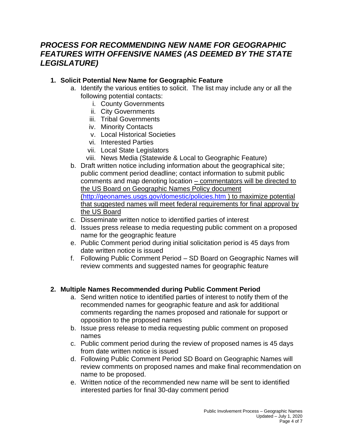## *PROCESS FOR RECOMMENDING NEW NAME FOR GEOGRAPHIC FEATURES WITH OFFENSIVE NAMES (AS DEEMED BY THE STATE LEGISLATURE)*

#### **1. Solicit Potential New Name for Geographic Feature**

- a. Identify the various entities to solicit. The list may include any or all the following potential contacts:
	- i. County Governments
	- ii. City Governments
	- iii. Tribal Governments
	- iv. Minority Contacts
	- v. Local Historical Societies
	- vi. Interested Parties
	- vii. Local State Legislators
	- viii. News Media (Statewide & Local to Geographic Feature)
- b. Draft written notice including information about the geographical site; public comment period deadline; contact information to submit public comments and map denoting location – commentators will be directed to the US Board on Geographic Names Policy document [\(http://geonames.usgs.gov/domestic/policies.htm](http://geonames.usgs.gov/domestic/policies.htm) ) to maximize potential that suggested names will meet federal requirements for final approval by the US Board
- c. Disseminate written notice to identified parties of interest
- d. Issues press release to media requesting public comment on a proposed name for the geographic feature
- e. Public Comment period during initial solicitation period is 45 days from date written notice is issued
- f. Following Public Comment Period SD Board on Geographic Names will review comments and suggested names for geographic feature

#### **2. Multiple Names Recommended during Public Comment Period**

- a. Send written notice to identified parties of interest to notify them of the recommended names for geographic feature and ask for additional comments regarding the names proposed and rationale for support or opposition to the proposed names
- b. Issue press release to media requesting public comment on proposed names
- c. Public comment period during the review of proposed names is 45 days from date written notice is issued
- d. Following Public Comment Period SD Board on Geographic Names will review comments on proposed names and make final recommendation on name to be proposed.
- e. Written notice of the recommended new name will be sent to identified interested parties for final 30-day comment period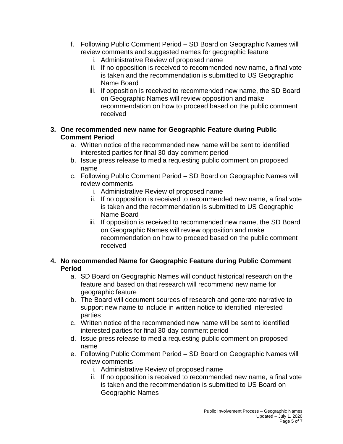- f. Following Public Comment Period SD Board on Geographic Names will review comments and suggested names for geographic feature
	- i. Administrative Review of proposed name
	- ii. If no opposition is received to recommended new name, a final vote is taken and the recommendation is submitted to US Geographic Name Board
	- iii. If opposition is received to recommended new name, the SD Board on Geographic Names will review opposition and make recommendation on how to proceed based on the public comment received

#### **3. One recommended new name for Geographic Feature during Public Comment Period**

- a. Written notice of the recommended new name will be sent to identified interested parties for final 30-day comment period
- b. Issue press release to media requesting public comment on proposed name
- c. Following Public Comment Period SD Board on Geographic Names will review comments
	- i. Administrative Review of proposed name
	- ii. If no opposition is received to recommended new name, a final vote is taken and the recommendation is submitted to US Geographic Name Board
	- iii. If opposition is received to recommended new name, the SD Board on Geographic Names will review opposition and make recommendation on how to proceed based on the public comment received

#### **4. No recommended Name for Geographic Feature during Public Comment Period**

- a. SD Board on Geographic Names will conduct historical research on the feature and based on that research will recommend new name for geographic feature
- b. The Board will document sources of research and generate narrative to support new name to include in written notice to identified interested parties
- c. Written notice of the recommended new name will be sent to identified interested parties for final 30-day comment period
- d. Issue press release to media requesting public comment on proposed name
- e. Following Public Comment Period SD Board on Geographic Names will review comments
	- i. Administrative Review of proposed name
	- ii. If no opposition is received to recommended new name, a final vote is taken and the recommendation is submitted to US Board on Geographic Names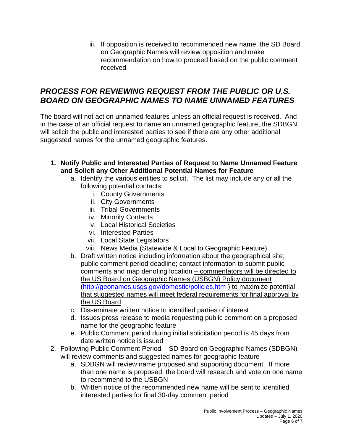iii. If opposition is received to recommended new name, the SD Board on Geographic Names will review opposition and make recommendation on how to proceed based on the public comment received

## *PROCESS FOR REVIEWING REQUEST FROM THE PUBLIC OR U.S. BOARD ON GEOGRAPHIC NAMES TO NAME UNNAMED FEATURES*

The board will not act on unnamed features unless an official request is received. And in the case of an official request to name an unnamed geographic feature, the SDBGN will solicit the public and interested parties to see if there are any other additional suggested names for the unnamed geographic features.

- **1. Notify Public and Interested Parties of Request to Name Unnamed Feature and Solicit any Other Additional Potential Names for Feature**
	- a. Identify the various entities to solicit. The list may include any or all the following potential contacts:
		- i. County Governments
		- ii. City Governments
		- iii. Tribal Governments
		- iv. Minority Contacts
		- v. Local Historical Societies
		- vi. Interested Parties
		- vii. Local State Legislators
		- viii. News Media (Statewide & Local to Geographic Feature)
	- b. Draft written notice including information about the geographical site; public comment period deadline; contact information to submit public comments and map denoting location – commentators will be directed to the US Board on Geographic Names (USBGN) Policy document [\(http://geonames.usgs.gov/domestic/policies.htm](http://geonames.usgs.gov/domestic/policies.htm) ) to maximize potential that suggested names will meet federal requirements for final approval by the US Board
	- c. Disseminate written notice to identified parties of interest
	- d. Issues press release to media requesting public comment on a proposed name for the geographic feature
	- e. Public Comment period during initial solicitation period is 45 days from date written notice is issued
- 2. Following Public Comment Period SD Board on Geographic Names (SDBGN) will review comments and suggested names for geographic feature
	- a. SDBGN will review name proposed and supporting document. If more than one name is proposed, the board will research and vote on one name to recommend to the USBGN
	- b. Written notice of the recommended new name will be sent to identified interested parties for final 30-day comment period